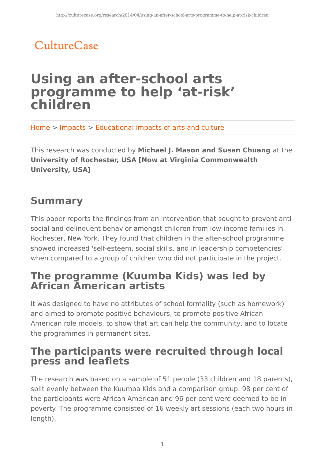# CultureCase

## **Using an after-school arts programme to help 'at-risk' children**

Home > Impacts > Educational impacts of arts and culture

This research was conducted by **Michael J. Mason and Susan Chuang** at the **University of Rochester, USA [Now at Virginia Commonwealth University, USA]**

### **Summary**

This paper reports the findings from an intervention that sought to prevent antisocial and delinquent behavior amongst children from low-income families in Rochester, New York. They found that children in the after-school programme showed increased 'self-esteem, social skills, and in leadership competencies' when compared to a group of children who did not participate in the project.

### **The programme (Kuumba Kids) was led by African American artists**

It was designed to have no attributes of school formality (such as homework) and aimed to promote positive behaviours, to promote positive African American role models, to show that art can help the community, and to locate the programmes in permanent sites.

### **The participants were recruited through local press and leaflets**

The research was based on a sample of 51 people (33 children and 18 parents), split evenly between the Kuumba Kids and a comparison group. 98 per cent of the participants were African American and 96 per cent were deemed to be in poverty. The programme consisted of 16 weekly art sessions (each two hours in length).